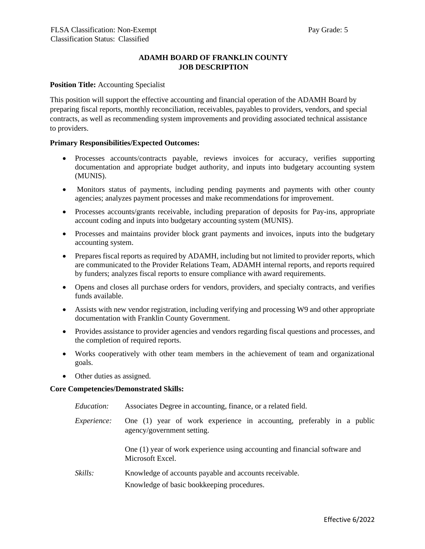# **ADAMH BOARD OF FRANKLIN COUNTY JOB DESCRIPTION**

### **Position Title:** Accounting Specialist

This position will support the effective accounting and financial operation of the ADAMH Board by preparing fiscal reports, monthly reconciliation, receivables, payables to providers, vendors, and special contracts, as well as recommending system improvements and providing associated technical assistance to providers.

#### **Primary Responsibilities/Expected Outcomes:**

- Processes accounts/contracts payable, reviews invoices for accuracy, verifies supporting documentation and appropriate budget authority, and inputs into budgetary accounting system (MUNIS).
- Monitors status of payments, including pending payments and payments with other county agencies; analyzes payment processes and make recommendations for improvement.
- Processes accounts/grants receivable, including preparation of deposits for Pay-ins, appropriate account coding and inputs into budgetary accounting system (MUNIS).
- Processes and maintains provider block grant payments and invoices, inputs into the budgetary accounting system.
- Prepares fiscal reports as required by ADAMH, including but not limited to provider reports, which are communicated to the Provider Relations Team, ADAMH internal reports, and reports required by funders; analyzes fiscal reports to ensure compliance with award requirements.
- Opens and closes all purchase orders for vendors, providers, and specialty contracts, and verifies funds available.
- Assists with new vendor registration, including verifying and processing W9 and other appropriate documentation with Franklin County Government.
- Provides assistance to provider agencies and vendors regarding fiscal questions and processes, and the completion of required reports.
- Works cooperatively with other team members in the achievement of team and organizational goals.
- Other duties as assigned.

### **Core Competencies/Demonstrated Skills:**

- *Education:* Associates Degree in accounting, finance, or a related field.
- *Experience:* One (1) year of work experience in accounting, preferably in a public agency/government setting.

One (1) year of work experience using accounting and financial software and Microsoft Excel.

*Skills:* Knowledge of accounts payable and accounts receivable. Knowledge of basic bookkeeping procedures.